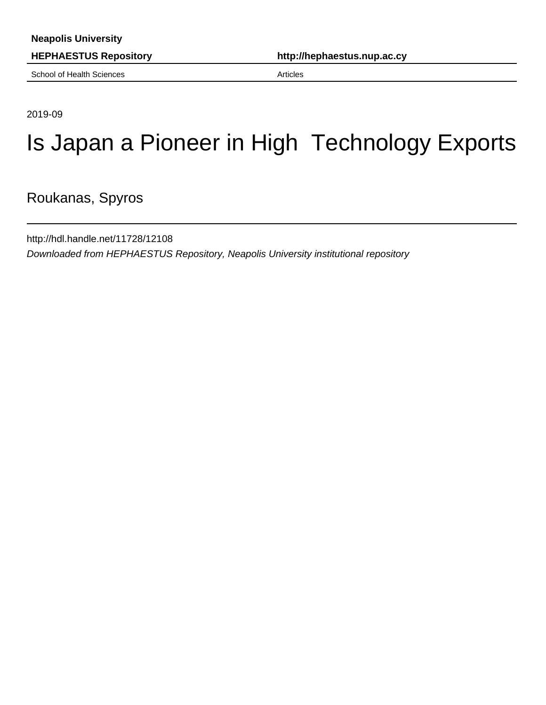**HEPHAESTUS Repository http://hephaestus.nup.ac.cy**

School of Health Sciences **Articles** Articles

2019-09

# Is Japan a Pioneer in High Technology Exports

Roukanas, Spyros

http://hdl.handle.net/11728/12108 Downloaded from HEPHAESTUS Repository, Neapolis University institutional repository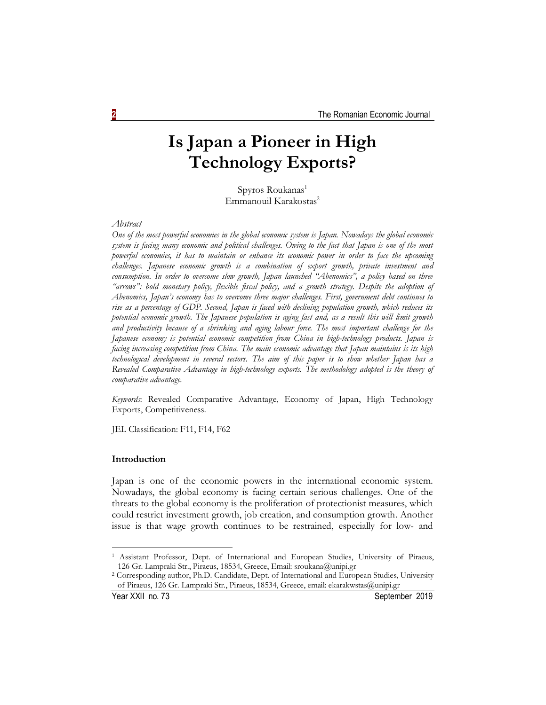# **Is Japan a Pioneer in High Technology Exports?**

Spyros Roukanas<sup>1</sup> Emmanouil Karakostas<sup>2</sup>

*Abstract*

*One of the most powerful economies in the global economic system is Japan. Nowadays the global economic system is facing many economic and political challenges. Owing to the fact that Japan is one of the most powerful economies, it has to maintain or enhance its economic power in order to face the upcoming challenges. Japanese economic growth is a combination of export growth, private investment and consumption. In order to overcome slow growth, Japan launched "Abenomics", a policy based on three "arrows": bold monetary policy, flexible fiscal policy, and a growth strategy. Despite the adoption of Abenomics, Japan's economy has to overcome three major challenges. First, government debt continues to rise as a percentage of GDP. Second, Japan is faced with declining population growth, which reduces its potential economic growth. The Japanese population is aging fast and, as a result this will limit growth and productivity because of a shrinking and aging labour force. The most important challenge for the Japanese economy is potential economic competition from China in high-technology products. Japan is facing increasing competition from China. The main economic advantage that Japan maintains is its high technological development in several sectors. The aim of this paper is to show whether Japan has a Revealed Comparative Advantage in high-technology exports. The methodology adopted is the theory of comparative advantage.*

*Keywords*: Revealed Comparative Advantage, Economy of Japan, High Technology Exports, Competitiveness.

JEL Classification: F11, F14, F62

### **Introduction**

Japan is one of the economic powers in the international economic system. Nowadays, the global economy is facing certain serious challenges. One of the threats to the global economy is the proliferation of protectionist measures, which could restrict investment growth, job creation, and consumption growth. Another issue is that wage growth continues to be restrained, especially for low- and

<sup>1</sup> Assistant Professor, Dept. of International and European Studies, University of Piraeus, 126 Gr. Lampraki Str., Piraeus, 18534, Greece, Email: sroukana@unipi.gr

<sup>2</sup> Corresponding author, Ph.D. Candidate, Dept. of International and European Studies, University of Piraeus, 126 Gr. Lampraki Str., Piraeus, 18534, Greece, email: ekarakwstas@unipi.gr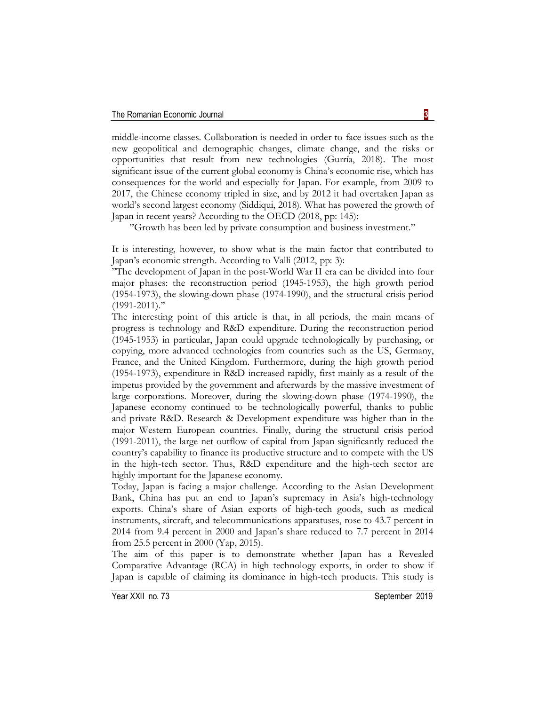middle-income classes. Collaboration is needed in order to face issues such as the new geopolitical and demographic changes, climate change, and the risks or opportunities that result from new technologies (Gurría, 2018). The most significant issue of the current global economy is China's economic rise, which has consequences for the world and especially for Japan. For example, from 2009 to 2017, the Chinese economy tripled in size, and by 2012 it had overtaken Japan as world's second largest economy (Siddiqui, 2018). What has powered the growth of Japan in recent years? According to the OECD (2018, pp: 145):

"Growth has been led by private consumption and business investment.''

It is interesting, however, to show what is the main factor that contributed to Japan's economic strength. According to Valli (2012, pp: 3):

"The development of Japan in the post-World War II era can be divided into four major phases: the reconstruction period (1945-1953), the high growth period (1954-1973), the slowing-down phase (1974-1990), and the structural crisis period (1991-2011).''

The interesting point of this article is that, in all periods, the main means of progress is technology and R&D expenditure. During the reconstruction period (1945-1953) in particular, Japan could upgrade technologically by purchasing, or copying, more advanced technologies from countries such as the US, Germany, France, and the United Kingdom. Furthermore, during the high growth period (1954-1973), expenditure in R&D increased rapidly, first mainly as a result of the impetus provided by the government and afterwards by the massive investment of large corporations. Moreover, during the slowing-down phase (1974-1990), the Japanese economy continued to be technologically powerful, thanks to public and private R&D. Research & Development expenditure was higher than in the major Western European countries. Finally, during the structural crisis period (1991-2011), the large net outflow of capital from Japan significantly reduced the country's capability to finance its productive structure and to compete with the US in the high-tech sector. Thus, R&D expenditure and the high-tech sector are highly important for the Japanese economy.

Today, Japan is facing a major challenge. According to the Asian Development Bank, China has put an end to Japan's supremacy in Asia's high-technology exports. China's share of Asian exports of high-tech goods, such as medical instruments, aircraft, and telecommunications apparatuses, rose to 43.7 percent in 2014 from 9.4 percent in 2000 and Japan's share reduced to 7.7 percent in 2014 from 25.5 percent in 2000 (Yap, 2015).

The aim of this paper is to demonstrate whether Japan has a Revealed Comparative Advantage (RCA) in high technology exports, in order to show if Japan is capable of claiming its dominance in high-tech products. This study is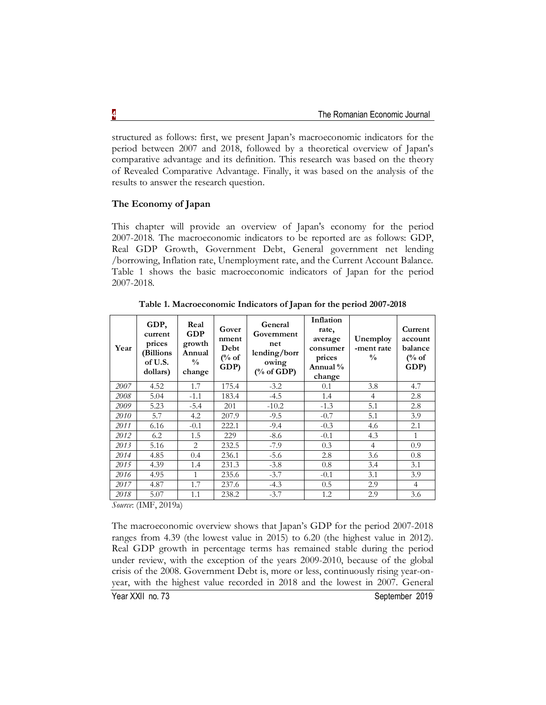structured as follows: first, we present Japan's macroeconomic indicators for the period between 2007 and 2018, followed by a theoretical overview of Japan's comparative advantage and its definition. This research was based on the theory of Revealed Comparative Advantage. Finally, it was based on the analysis of the results to answer the research question.

# **The Economy of Japan**

This chapter will provide an overview of Japan's economy for the period 2007-2018. The macroeconomic indicators to be reported are as follows: GDP, Real GDP Growth, Government Debt, General government net lending /borrowing, Inflation rate, Unemployment rate, and the Current Account Balance. Table 1 shows the basic macroeconomic indicators of Japan for the period 2007-2018.

| Year | GDP,<br>current<br>prices<br>(Billions<br>of U.S.<br>dollars) | Real<br><b>GDP</b><br>growth<br>Annual<br>$\frac{0}{0}$<br>change | Gover<br>nment<br>Debt<br>$\frac{6}{6}$ of<br>GDP) | General<br>Government<br>net<br>lending/borr<br>owing<br>$(\%$ of GDP) | Inflation<br>rate,<br>average<br>consumer<br>prices<br>Annual $\%$<br>change | Unemploy<br>-ment rate<br>$\frac{0}{0}$ | Current<br>account<br>balance<br>$\frac{6}{6}$ of<br>GDP) |
|------|---------------------------------------------------------------|-------------------------------------------------------------------|----------------------------------------------------|------------------------------------------------------------------------|------------------------------------------------------------------------------|-----------------------------------------|-----------------------------------------------------------|
| 2007 | 4.52                                                          | 1.7                                                               | 175.4                                              | $-3.2$                                                                 | 0.1                                                                          | 3.8                                     | 4.7                                                       |
| 2008 | 5.04                                                          | $-1.1$                                                            | 183.4                                              | $-4.5$                                                                 | 1.4                                                                          | $\overline{4}$                          | 2.8                                                       |
| 2009 | 5.23                                                          | $-5.4$                                                            | 201                                                | $-10.2$                                                                | $-1.3$                                                                       | 5.1                                     | 2.8                                                       |
| 2010 | 5.7                                                           | 4.2                                                               | 207.9                                              | $-9.5$                                                                 | $-0.7$                                                                       | 5.1                                     | 3.9                                                       |
| 2011 | 6.16                                                          | $-0.1$                                                            | 222.1                                              | $-9.4$                                                                 | $-0.3$                                                                       | 4.6                                     | 2.1                                                       |
| 2012 | 6.2                                                           | 1.5                                                               | 229                                                | $-8.6$                                                                 | $-0.1$                                                                       | 4.3                                     | $\mathbf{1}$                                              |
| 2013 | 5.16                                                          | $\mathfrak{D}_{\mathfrak{p}}$                                     | 232.5                                              | $-7.9$                                                                 | 0.3                                                                          | $\overline{4}$                          | 0.9                                                       |
| 2014 | 4.85                                                          | 0.4                                                               | 236.1                                              | $-5.6$                                                                 | 2.8                                                                          | 3.6                                     | 0.8                                                       |
| 2015 | 4.39                                                          | 1.4                                                               | 231.3                                              | $-3.8$                                                                 | 0.8                                                                          | 3.4                                     | 3.1                                                       |
| 2016 | 4.95                                                          | 1                                                                 | 235.6                                              | $-3.7$                                                                 | $-0.1$                                                                       | 3.1                                     | 3.9                                                       |
| 2017 | 4.87                                                          | 1.7                                                               | 237.6                                              | $-4.3$                                                                 | 0.5                                                                          | 2.9                                     | $\overline{4}$                                            |
| 2018 | 5.07                                                          | 1.1                                                               | 238.2                                              | $-3.7$                                                                 | 1.2                                                                          | 2.9                                     | 3.6                                                       |

**Table 1. Macroeconomic Indicators of Japan for the period 2007-2018**

*Source*: (IMF, 2019a)

The macroeconomic overview shows that Japan's GDP for the period 2007-2018 ranges from 4.39 (the lowest value in 2015) to 6.20 (the highest value in 2012). Real GDP growth in percentage terms has remained stable during the period under review, with the exception of the years 2009-2010, because of the global crisis of the 2008. Government Debt is, more or less, continuously rising year-onyear, with the highest value recorded in 2018 and the lowest in 2007. General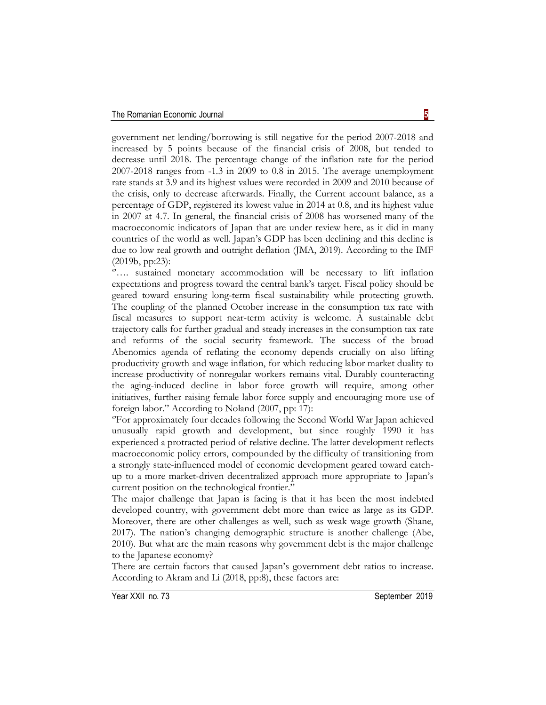government net lending/borrowing is still negative for the period 2007-2018 and increased by 5 points because of the financial crisis of 2008, but tended to decrease until 2018. The percentage change of the inflation rate for the period 2007-2018 ranges from -1.3 in 2009 to 0.8 in 2015. The average unemployment rate stands at 3.9 and its highest values were recorded in 2009 and 2010 because of the crisis, only to decrease afterwards. Finally, the Current account balance, as a percentage of GDP, registered its lowest value in 2014 at 0.8, and its highest value in 2007 at 4.7. In general, the financial crisis of 2008 has worsened many of the macroeconomic indicators of Japan that are under review here, as it did in many countries of the world as well. Japan's GDP has been declining and this decline is due to low real growth and outright deflation (JMA, 2019). According to the IMF (2019b, pp:23):

''…. sustained monetary accommodation will be necessary to lift inflation expectations and progress toward the central bank's target. Fiscal policy should be geared toward ensuring long-term fiscal sustainability while protecting growth. The coupling of the planned October increase in the consumption tax rate with fiscal measures to support near-term activity is welcome. A sustainable debt trajectory calls for further gradual and steady increases in the consumption tax rate and reforms of the social security framework. The success of the broad Abenomics agenda of reflating the economy depends crucially on also lifting productivity growth and wage inflation, for which reducing labor market duality to increase productivity of nonregular workers remains vital. Durably counteracting the aging-induced decline in labor force growth will require, among other initiatives, further raising female labor force supply and encouraging more use of foreign labor." According to Noland (2007, pp: 17):

''For approximately four decades following the Second World War Japan achieved unusually rapid growth and development, but since roughly 1990 it has experienced a protracted period of relative decline. The latter development reflects macroeconomic policy errors, compounded by the difficulty of transitioning from a strongly state-influenced model of economic development geared toward catchup to a more market-driven decentralized approach more appropriate to Japan's current position on the technological frontier.''

The major challenge that Japan is facing is that it has been the most indebted developed country, with government debt more than twice as large as its GDP. Moreover, there are other challenges as well, such as weak wage growth (Shane, 2017). The nation's changing demographic structure is another challenge (Abe, 2010). But what are the main reasons why government debt is the major challenge to the Japanese economy?

There are certain factors that caused Japan's government debt ratios to increase. According to Akram and Li (2018, pp:8), these factors are: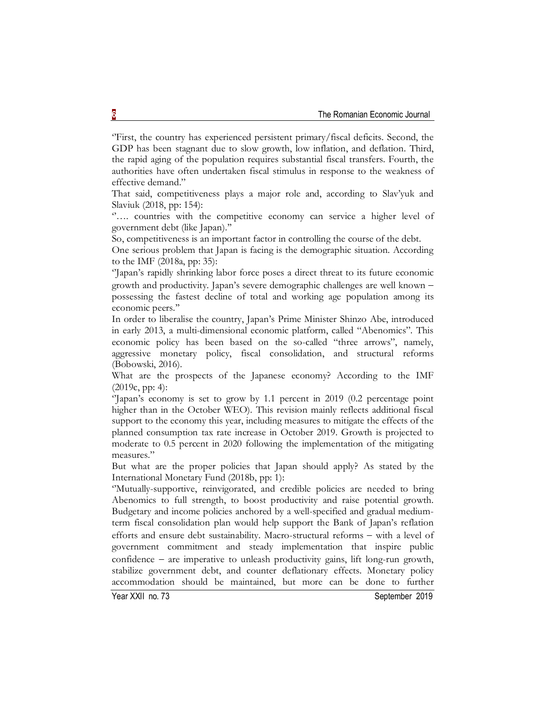''First, the country has experienced persistent primary/fiscal deficits. Second, the GDP has been stagnant due to slow growth, low inflation, and deflation. Third, the rapid aging of the population requires substantial fiscal transfers. Fourth, the authorities have often undertaken fiscal stimulus in response to the weakness of effective demand."

That said, competitiveness plays a major role and, according to Slav'yuk and Slaviuk (2018, pp: 154):

".... countries with the competitive economy can service a higher level of government debt (like Japan).''

So, competitiveness is an important factor in controlling the course of the debt.

One serious problem that Japan is facing is the demographic situation. According to the IMF (2018a, pp: 35):

''Japan's rapidly shrinking labor force poses a direct threat to its future economic growth and productivity. Japan's severe demographic challenges are well known possessing the fastest decline of total and working age population among its economic peers.''

In order to liberalise the country, Japan's Prime Minister Shinzo Abe, introduced in early 2013, a multi-dimensional economic platform, called "Abenomics". This economic policy has been based on the so-called "three arrows", namely, aggressive monetary policy, fiscal consolidation, and structural reforms (Bobowski, 2016).

What are the prospects of the Japanese economy? According to the IMF (2019c, pp: 4):

''Japan's economy is set to grow by 1.1 percent in 2019 (0.2 percentage point higher than in the October WEO). This revision mainly reflects additional fiscal support to the economy this year, including measures to mitigate the effects of the planned consumption tax rate increase in October 2019. Growth is projected to moderate to 0.5 percent in 2020 following the implementation of the mitigating measures.''

But what are the proper policies that Japan should apply? As stated by the International Monetary Fund (2018b, pp: 1):

''Mutually-supportive, reinvigorated, and credible policies are needed to bring Abenomics to full strength, to boost productivity and raise potential growth. Budgetary and income policies anchored by a well-specified and gradual mediumterm fiscal consolidation plan would help support the Bank of Japan's reflation efforts and ensure debt sustainability. Macro-structural reforms  $-$  with a level of government commitment and steady implementation that inspire public confidence  $-$  are imperative to unleash productivity gains, lift long-run growth, stabilize government debt, and counter deflationary effects. Monetary policy accommodation should be maintained, but more can be done to further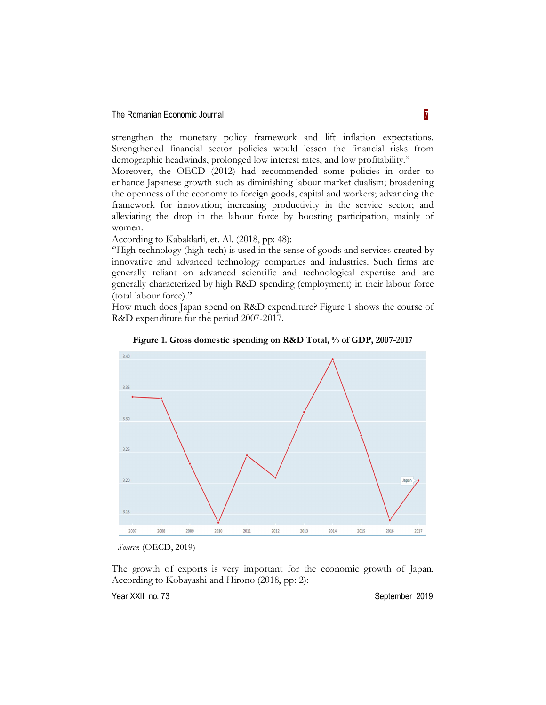strengthen the monetary policy framework and lift inflation expectations. Strengthened financial sector policies would lessen the financial risks from demographic headwinds, prolonged low interest rates, and low profitability.''

Moreover, the OECD (2012) had recommended some policies in order to enhance Japanese growth such as diminishing labour market dualism; broadening the openness of the economy to foreign goods, capital and workers; advancing the framework for innovation; increasing productivity in the service sector; and alleviating the drop in the labour force by boosting participation, mainly of women.

According to Kabaklarli, et. Al. (2018, pp: 48):

''High technology (high-tech) is used in the sense of goods and services created by innovative and advanced technology companies and industries. Such firms are generally reliant on advanced scientific and technological expertise and are generally characterized by high R&D spending (employment) in their labour force (total labour force).''

How much does Japan spend on R&D expenditure? Figure 1 shows the course of R&D expenditure for the period 2007-2017.



**Figure 1. Gross domestic spending on R&D Total, % of GDP, 2007-2017**

The growth of exports is very important for the economic growth of Japan. According to Kobayashi and Hirono (2018, pp: 2):

*Source*: (OECD, 2019)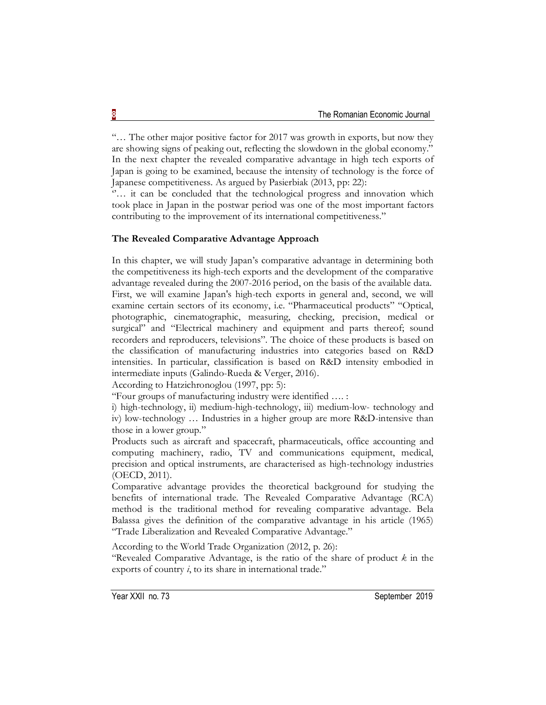"… The other major positive factor for 2017 was growth in exports, but now they are showing signs of peaking out, reflecting the slowdown in the global economy." In the next chapter the revealed comparative advantage in high tech exports of Japan is going to be examined, because the intensity of technology is the force of Japanese competitiveness. As argued by Pasierbiak (2013, pp: 22):

"... it can be concluded that the technological progress and innovation which took place in Japan in the postwar period was one of the most important factors contributing to the improvement of its international competitiveness.''

# **The Revealed Comparative Advantage Approach**

In this chapter, we will study Japan's comparative advantage in determining both the competitiveness its high-tech exports and the development of the comparative advantage revealed during the 2007-2016 period, on the basis of the available data. First, we will examine Japan's high-tech exports in general and, second, we will examine certain sectors of its economy, i.e. "Pharmaceutical products" "Optical, photographic, cinematographic, measuring, checking, precision, medical or surgical" and "Electrical machinery and equipment and parts thereof; sound recorders and reproducers, televisions". The choice of these products is based on the classification of manufacturing industries into categories based on R&D intensities. In particular, classification is based on R&D intensity embodied in intermediate inputs (Galindo-Rueda & Verger, 2016).

According to Hatzichronoglou (1997, pp: 5):

"Four groups of manufacturing industry were identified …. :

i) high-technology, ii) medium-high-technology, iii) medium-low- technology and iv) low-technology … Industries in a higher group are more R&D-intensive than those in a lower group."

Products such as aircraft and spacecraft, pharmaceuticals, office accounting and computing machinery, radio, TV and communications equipment, medical, precision and optical instruments, are characterised as high-technology industries (OECD, 2011).

Comparative advantage provides the theoretical background for studying the benefits of international trade. The Revealed Comparative Advantage (RCA) method is the traditional method for revealing comparative advantage. Bela Balassa gives the definition of the comparative advantage in his article (1965) "Trade Liberalization and Revealed Comparative Advantage."

According to the World Trade Organization (2012, p. 26):

"Revealed Comparative Advantage, is the ratio of the share of product *k* in the exports of country *i*, to its share in international trade."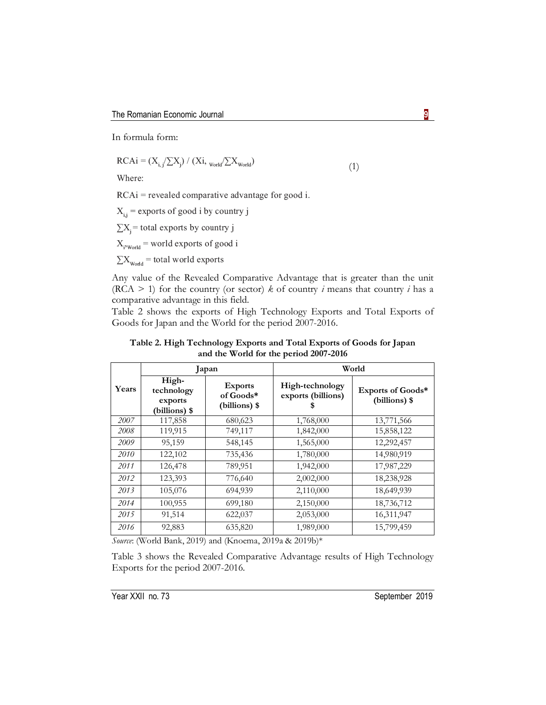In formula form:

$$
RCAi = (X_{i,j} / \sum X_j) / (Xi_{i, \text{World}} / \sum X_{\text{World}})
$$
\n(1)

Where:

 $RCAi = revealed comparative advantage for good i.$ 

 $X_{i,j}$  = exports of good i by country j

 $\sum X_i$  = total exports by country j

 $X_{i$ <sup>y</sup><sub>world</sub> = world exports of good i

 $\sum X_{\text{wodd}}$  = total world exports

Any value of the Revealed Comparative Advantage that is greater than the unit (RCA  $>$  1) for the country (or sector)  $k$  of country *i* means that country *i* has a comparative advantage in this field.

Table 2 shows the exports of High Technology Exports and Total Exports of Goods for Japan and the World for the period 2007-2016.

| Table 2. High Technology Exports and Total Exports of Goods for Japan |
|-----------------------------------------------------------------------|
| and the World for the period 2007-2016                                |

|       |                                                 | Japan                                        | World                                 |                                    |  |
|-------|-------------------------------------------------|----------------------------------------------|---------------------------------------|------------------------------------|--|
| Years | High-<br>technology<br>exports<br>(billions) \$ | <b>Exports</b><br>of Goods*<br>(billions) \$ | High-technology<br>exports (billions) | Exports of Goods*<br>(billions) \$ |  |
| 2007  | 117,858                                         | 680,623                                      | 1,768,000                             | 13,771,566                         |  |
| 2008  | 119,915                                         | 749,117                                      | 1,842,000                             | 15,858,122                         |  |
| 2009  | 95,159                                          | 548,145                                      | 1,565,000                             | 12,292,457                         |  |
| 2010  | 122,102                                         | 735,436                                      | 1,780,000                             | 14,980,919                         |  |
| 2011  | 126,478                                         | 789,951                                      | 1,942,000                             | 17,987,229                         |  |
| 2012  | 123,393                                         | 776,640                                      | 2,002,000                             | 18,238,928                         |  |
| 2013  | 105,076                                         | 694,939                                      | 2,110,000                             | 18,649,939                         |  |
| 2014  | 100,955                                         | 699,180                                      | 2,150,000                             | 18,736,712                         |  |
| 2015  | 91,514                                          | 622,037                                      | 2,053,000                             | 16,311,947                         |  |
| 2016  | 92,883                                          | 635,820                                      | 1,989,000                             | 15,799,459                         |  |

*Source*: (World Bank, 2019) and (Knoema, 2019a & 2019b)\*

Table 3 shows the Revealed Comparative Advantage results of High Technology Exports for the period 2007-2016.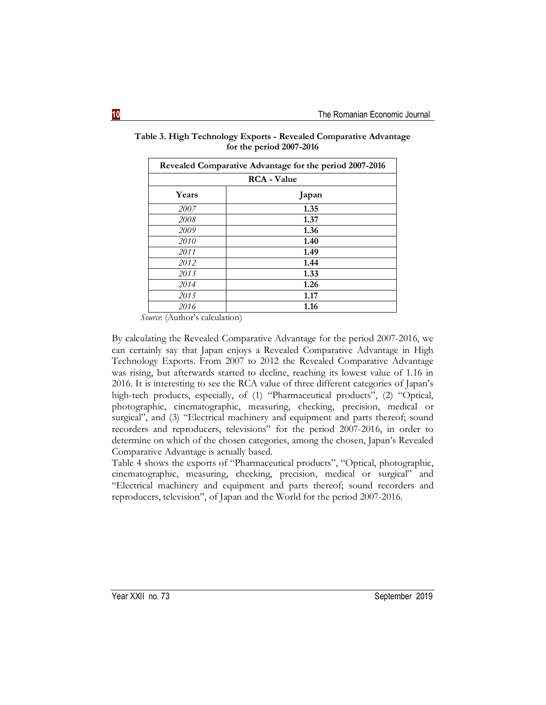| Revealed Comparative Advantage for the period 2007-2016 |       |  |  |  |
|---------------------------------------------------------|-------|--|--|--|
| <b>RCA</b> - Value                                      |       |  |  |  |
| Years                                                   | Japan |  |  |  |
| 2007                                                    | 1.35  |  |  |  |
| 2008                                                    | 1.37  |  |  |  |
| 2009                                                    | 1.36  |  |  |  |
| 2010                                                    | 1.40  |  |  |  |
| 2011                                                    | 1.49  |  |  |  |
| 2012                                                    | 1.44  |  |  |  |
| 2013                                                    | 1.33  |  |  |  |
| 2014                                                    | 1.26  |  |  |  |
| 2015                                                    | 1.17  |  |  |  |
| 2016                                                    | 1.16  |  |  |  |

**Table 3. High Technology Exports - Revealed Comparative Advantage for the period 2007-2016**

*Source*: (Author's calculation)

By calculating the Revealed Comparative Advantage for the period 2007-2016, we can certainly say that Japan enjoys a Revealed Comparative Advantage in High Technology Exports. From 2007 to 2012 the Revealed Comparative Advantage was rising, but afterwards started to decline, reaching its lowest value of 1.16 in 2016. It is interesting to see the RCA value of three different categories of Japan's high-tech products, especially, of (1) "Pharmaceutical products", (2) "Optical, photographic, cinematographic, measuring, checking, precision, medical or surgical", and (3) "Electrical machinery and equipment and parts thereof; sound recorders and reproducers, televisions" for the period 2007-2016, in order to determine on which of the chosen categories, among the chosen, Japan's Revealed Comparative Advantage is actually based.

Table 4 shows the exports of "Pharmaceutical products", "Optical, photographic, cinematographic, measuring, checking, precision, medical or surgical" and "Electrical machinery and equipment and parts thereof; sound recorders and reproducers, television", of Japan and the World for the period 2007-2016.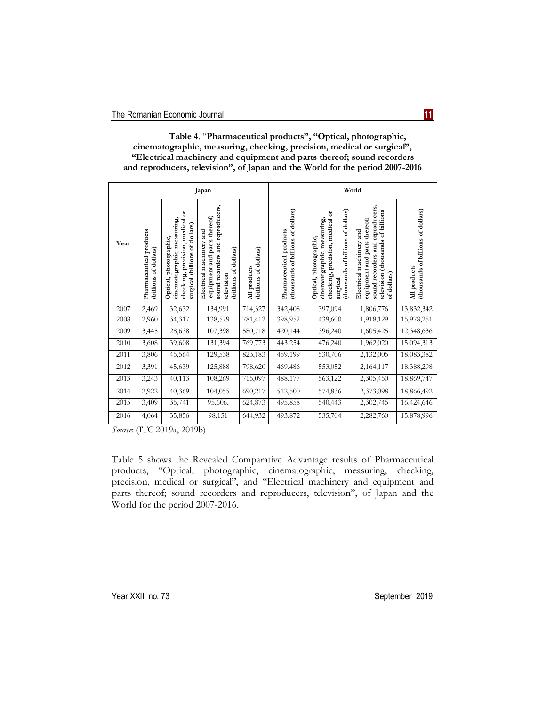**Table 4**. "**Pharmaceutical products", "Optical, photographic, cinematographic, measuring, checking, precision, medical or surgical", "Electrical machinery and equipment and parts thereof; sound recorders and reproducers, television", of Japan and the World for the period 2007-2016**

|      | Japan                                            |                                                                                                                            |                                                                                                                                           |                                       | World                                                         |                                                                                                                                            |                                                                                                                                                           |                                                    |
|------|--------------------------------------------------|----------------------------------------------------------------------------------------------------------------------------|-------------------------------------------------------------------------------------------------------------------------------------------|---------------------------------------|---------------------------------------------------------------|--------------------------------------------------------------------------------------------------------------------------------------------|-----------------------------------------------------------------------------------------------------------------------------------------------------------|----------------------------------------------------|
| Year | Pharmaceutical products<br>(billions of dollars) | checking, precision, medical or<br>cinematographic, measuring,<br>surgical (billions of dollars)<br>Optical, photographic, | sound recorders and reproducers,<br>equipment and parts thereof;<br>and<br>Electrical machinery<br>dollars)<br>(billions of<br>television | (billions of dollars)<br>All products | (thousands of billions of dollars)<br>Pharmaceutical products | (thousands of billions of dollars)<br>checking, precision, medical or<br>cinematographic, measuring,<br>Optical, photographic,<br>surgical | and reproducers,<br>television (thousands of billions<br>thereof;<br>and<br>equipment and parts<br>Electrical machinery<br>sound recorders<br>of dollars) | (thousands of billions of dollars)<br>All products |
| 2007 | 2,469                                            | 32,632                                                                                                                     | 134,991                                                                                                                                   | 714,327                               | 342,408                                                       | 397,094                                                                                                                                    | 1,806,776                                                                                                                                                 | 13,832,342                                         |
| 2008 | 2,960                                            | 34,317                                                                                                                     | 138,579                                                                                                                                   | 781,412                               | 398,952                                                       | 439,600                                                                                                                                    | 1,918,129                                                                                                                                                 | 15,978,251                                         |
| 2009 | 3,445                                            | 28,638                                                                                                                     | 107,398                                                                                                                                   | 580,718                               | 420,144                                                       | 396,240                                                                                                                                    | 1,605,425                                                                                                                                                 | 12,348,636                                         |
| 2010 | 3,608                                            | 39,608                                                                                                                     | 131,394                                                                                                                                   | 769,773                               | 443,254                                                       | 476,240                                                                                                                                    | 1,962,020                                                                                                                                                 | 15,094,313                                         |
| 2011 | 3,806                                            | 45,564                                                                                                                     | 129,538                                                                                                                                   | 823,183                               | 459,199                                                       | 530,706                                                                                                                                    | 2,132,005                                                                                                                                                 | 18,083,382                                         |
| 2012 | 3,391                                            | 45,639                                                                                                                     | 125,888                                                                                                                                   | 798,620                               | 469,486                                                       | 553,052                                                                                                                                    | 2,164,117                                                                                                                                                 | 18,388,298                                         |
| 2013 | 3,243                                            | 40,113                                                                                                                     | 108,269                                                                                                                                   | 715,097                               | 488,177                                                       | 563,122                                                                                                                                    | 2,305,450                                                                                                                                                 | 18,869,747                                         |
| 2014 | 2,922                                            | 40,369                                                                                                                     | 104,055                                                                                                                                   | 690,217                               | 512,500                                                       | 574,836                                                                                                                                    | 2,373,098                                                                                                                                                 | 18,866,492                                         |
| 2015 | 3,409                                            | 35,741                                                                                                                     | 95,606,                                                                                                                                   | 624,873                               | 495,858                                                       | 540,443                                                                                                                                    | 2,302,745                                                                                                                                                 | 16,424,646                                         |
| 2016 | 4,064                                            | 35,856                                                                                                                     | 98,151                                                                                                                                    | 644,932                               | 493,872                                                       | 535,704                                                                                                                                    | 2,282,760                                                                                                                                                 | 15,878,996                                         |

*Source*: (ITC 2019a, 2019b)

Table 5 shows the Revealed Comparative Advantage results of Pharmaceutical products, "Optical, photographic, cinematographic, measuring, checking, precision, medical or surgical", and "Electrical machinery and equipment and parts thereof; sound recorders and reproducers, television", of Japan and the World for the period 2007-2016.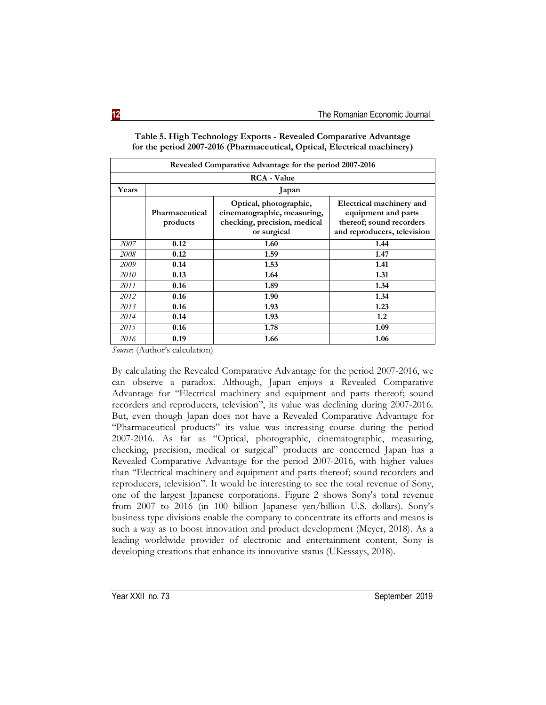| Revealed Comparative Advantage for the period 2007-2016 |                            |                                                                                                      |                                                                                                            |  |  |  |
|---------------------------------------------------------|----------------------------|------------------------------------------------------------------------------------------------------|------------------------------------------------------------------------------------------------------------|--|--|--|
| <b>RCA</b> - Value                                      |                            |                                                                                                      |                                                                                                            |  |  |  |
| Years                                                   | Japan                      |                                                                                                      |                                                                                                            |  |  |  |
|                                                         | Pharmaceutical<br>products | Optical, photographic,<br>cinematographic, measuring,<br>checking, precision, medical<br>or surgical | Electrical machinery and<br>equipment and parts<br>thereof; sound recorders<br>and reproducers, television |  |  |  |
| 2007                                                    | 0.12                       | 1.60                                                                                                 | 1.44                                                                                                       |  |  |  |
| 2008                                                    | 0.12                       | 1.59                                                                                                 | 1.47                                                                                                       |  |  |  |
| 2009                                                    | 0.14                       | 1.53                                                                                                 | 1.41                                                                                                       |  |  |  |
| 2010                                                    | 0.13                       | 1.64                                                                                                 | 1.31                                                                                                       |  |  |  |
| 2011                                                    | 0.16                       | 1.89                                                                                                 | 1.34                                                                                                       |  |  |  |
| 2012                                                    | 0.16                       | 1.90                                                                                                 | 1.34                                                                                                       |  |  |  |
| 2013                                                    | 0.16                       | 1.93                                                                                                 | 1.23                                                                                                       |  |  |  |
| 2014                                                    | 0.14                       | 1.93                                                                                                 | 1.2                                                                                                        |  |  |  |
| 2015                                                    | 0.16                       | 1.78                                                                                                 | 1.09                                                                                                       |  |  |  |
| 2016                                                    | 0.19                       | 1.66                                                                                                 | 1.06                                                                                                       |  |  |  |

**Table 5. High Technology Exports - Revealed Comparative Advantage for the period 2007-2016 (Pharmaceutical, Optical, Electrical machinery)**

*Source*: (Author's calculation)

By calculating the Revealed Comparative Advantage for the period 2007-2016, we can observe a paradox. Although, Japan enjoys a Revealed Comparative Advantage for "Electrical machinery and equipment and parts thereof; sound recorders and reproducers, television", its value was declining during 2007-2016. But, even though Japan does not have a Revealed Comparative Advantage for "Pharmaceutical products" its value was increasing course during the period 2007-2016. As far as "Optical, photographic, cinematographic, measuring, checking, precision, medical or surgical" products are concerned Japan has a Revealed Comparative Advantage for the period 2007-2016, with higher values than "Electrical machinery and equipment and parts thereof; sound recorders and reproducers, television". It would be interesting to see the total revenue of Sony, one of the largest Japanese corporations. Figure 2 shows Sony's total revenue from 2007 to 2016 (in 100 billion Japanese yen/billion U.S. dollars). Sony's business type divisions enable the company to concentrate its efforts and means is such a way as to boost innovation and product development (Meyer, 2018). As a leading worldwide provider of electronic and entertainment content, Sony is developing creations that enhance its innovative status (UKessays, 2018).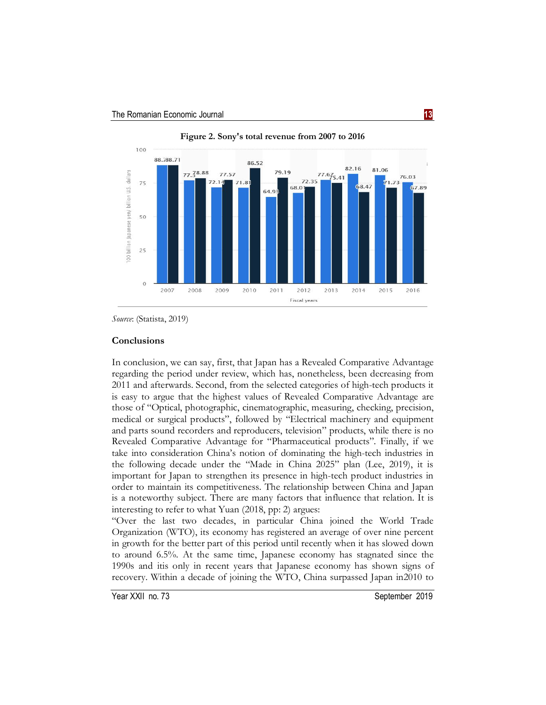

**Figure 2. Sony's total revenue from 2007 to 2016**

### **Conclusions**

In conclusion, we can say, first, that Japan has a Revealed Comparative Advantage regarding the period under review, which has, nonetheless, been decreasing from 2011 and afterwards. Second, from the selected categories of high-tech products it is easy to argue that the highest values of Revealed Comparative Advantage are those of "Optical, photographic, cinematographic, measuring, checking, precision, medical or surgical products", followed by "Electrical machinery and equipment and parts sound recorders and reproducers, television" products, while there is no Revealed Comparative Advantage for "Pharmaceutical products". Finally, if we take into consideration China's notion of dominating the high-tech industries in the following decade under the "Made in China 2025" plan (Lee, 2019), it is important for Japan to strengthen its presence in high-tech product industries in order to maintain its competitiveness. The relationship between China and Japan is a noteworthy subject. There are many factors that influence that relation. It is interesting to refer to what Yuan (2018, pp: 2) argues:

"Over the last two decades, in particular China joined the World Trade Organization (WTO), its economy has registered an average of over nine percent in growth for the better part of this period until recently when it has slowed down to around 6.5%. At the same time, Japanese economy has stagnated since the 1990s and itis only in recent years that Japanese economy has shown signs of recovery. Within a decade of joining the WTO, China surpassed Japan in2010 to

*Source*: (Statista, 2019)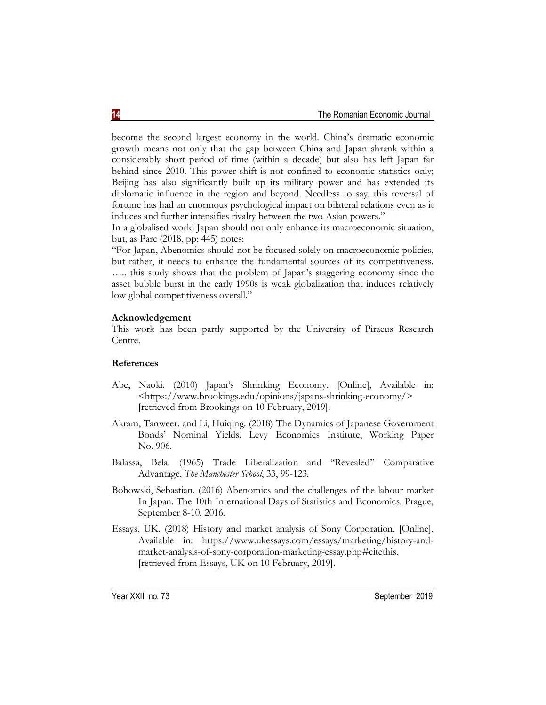become the second largest economy in the world. China's dramatic economic growth means not only that the gap between China and Japan shrank within a considerably short period of time (within a decade) but also has left Japan far behind since 2010. This power shift is not confined to economic statistics only; Beijing has also significantly built up its military power and has extended its diplomatic influence in the region and beyond. Needless to say, this reversal of fortune has had an enormous psychological impact on bilateral relations even as it induces and further intensifies rivalry between the two Asian powers."

In a globalised world Japan should not only enhance its macroeconomic situation, but, as Parc (2018, pp: 445) notes:

"For Japan, Abenomics should not be focused solely on macroeconomic policies, but rather, it needs to enhance the fundamental sources of its competitiveness. ….. this study shows that the problem of Japan's staggering economy since the asset bubble burst in the early 1990s is weak globalization that induces relatively low global competitiveness overall."

# **Acknowledgement**

This work has been partly supported by the University of Piraeus Research Centre.

## **References**

- Abe, Naoki. (2010) Japan's Shrinking Economy. [Online], Available in: <https://www.brookings.edu/opinions/japans-shrinking-economy/> [retrieved from Brookings on 10 February, 2019].
- Akram, Tanweer. and Li, Huiqing. (2018) The Dynamics of Japanese Government Bonds' Nominal Yields. Levy Economics Institute, Working Paper No. 906.
- Balassa, Bela. (1965) Trade Liberalization and "Revealed" Comparative Advantage, *The Manchester School*, 33, 99-123.
- Bobowski, Sebastian. (2016) Abenomics and the challenges of the labour market In Japan. The 10th International Days of Statistics and Economics, Prague, September 8-10, 2016.
- Essays, UK. (2018) History and market analysis of Sony Corporation. [Online], Available in: https://www.ukessays.com/essays/marketing/history-andmarket-analysis-of-sony-corporation-marketing-essay.php#citethis, [retrieved from Essays, UK on 10 February, 2019].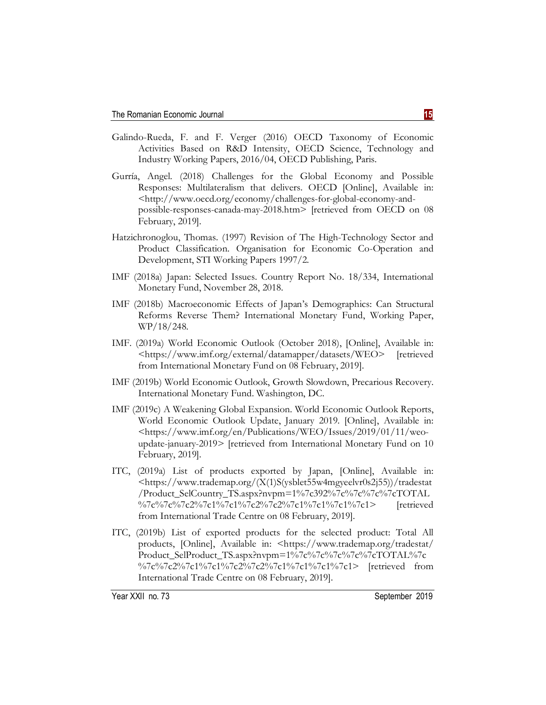- Galindo-Rueda, F. and F. Verger (2016) OECD Taxonomy of Economic Activities Based on R&D Intensity, OECD Science, Technology and Industry Working Papers, 2016/04, OECD Publishing, Paris.
- Gurría, Angel. (2018) Challenges for the Global Economy and Possible Responses: Multilateralism that delivers. OECD [Online], Available in: <http://www.oecd.org/economy/challenges-for-global-economy-andpossible-responses-canada-may-2018.htm> [retrieved from OECD on 08 February, 2019].
- Hatzichronoglou, Thomas. (1997) Revision of The High-Technology Sector and Product Classification. Organisation for Economic Co-Operation and Development, STI Working Papers 1997/2.
- IMF (2018a) Japan: Selected Issues. Country Report No. 18/334, International Monetary Fund, November 28, 2018.
- IMF (2018b) Macroeconomic Effects of Japan's Demographics: Can Structural Reforms Reverse Them? International Monetary Fund, Working Paper, WP/18/248.
- IMF. (2019a) World Economic Outlook (October 2018), [Online], Available in: <https://www.imf.org/external/datamapper/datasets/WEO> [retrieved from International Monetary Fund on 08 February, 2019].
- IMF (2019b) World Economic Outlook, Growth Slowdown, Precarious Recovery. International Monetary Fund. Washington, DC.
- IMF (2019c) A Weakening Global Expansion. World Economic Outlook Reports, World Economic Outlook Update, January 2019. [Online], Available in: <https://www.imf.org/en/Publications/WEO/Issues/2019/01/11/weoupdate-january-2019> [retrieved from International Monetary Fund on 10 February, 2019].
- ITC, (2019a) List of products exported by Japan, [Online], Available in: <https://www.trademap.org/(X(1)S(ysblet55w4mgyeelvr0s2j55))/tradestat /Product\_SelCountry\_TS.aspx?nvpm=1%7c392%7c%7c%7c%7cTOTAL %7c%7c%7c2%7c1%7c1%7c2%7c2%7c1%7c1%7c1%7c1%7c1> [retrieved] from International Trade Centre on 08 February, 2019].
- ITC, (2019b) List of exported products for the selected product: Total All products, [Online], Available in: <https://www.trademap.org/tradestat/ Product\_SelProduct\_TS.aspx?nvpm=1%7c%7c%7c%7c%7cTOTAL%7c %7c%7c2%7c1%7c1%7c2%7c2%7c1%7c1%7c1%7c1%7c1> [retrieved from International Trade Centre on 08 February, 2019].

Year XXII no. 73 September 2019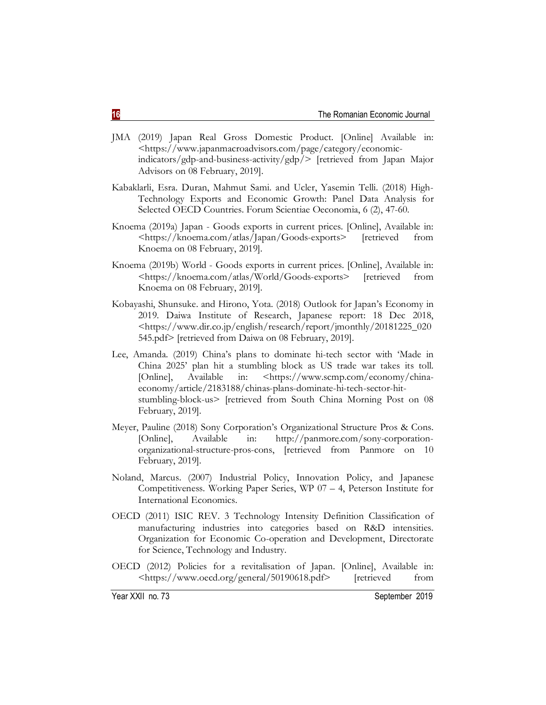- JMA (2019) Japan Real Gross Domestic Product. [Online] Available in: <https://www.japanmacroadvisors.com/page/category/economicindicators/gdp-and-business-activity/gdp/> [retrieved from Japan Major Advisors on 08 February, 2019].
- Kabaklarli, Esra. Duran, Mahmut Sami. and Ucler, Yasemin Telli. (2018) High-Technology Exports and Economic Growth: Panel Data Analysis for Selected OECD Countries. Forum Scientiae Oeconomia, 6 (2), 47-60.
- Knoema (2019a) Japan Goods exports in current prices. [Online], Available in: <https://knoema.com/atlas/Japan/Goods-exports> [retrieved from Knoema on 08 February, 2019].
- Knoema (2019b) World Goods exports in current prices. [Online], Available in: <https://knoema.com/atlas/World/Goods-exports> [retrieved from Knoema on 08 February, 2019].
- Kobayashi, Shunsuke. and Hirono, Yota. (2018) Outlook for Japan's Economy in 2019. Daiwa Institute of Research, Japanese report: 18 Dec 2018, <https://www.dir.co.jp/english/research/report/jmonthly/20181225\_020 545.pdf> [retrieved from Daiwa on 08 February, 2019].
- Lee, Amanda. (2019) China's plans to dominate hi-tech sector with 'Made in China 2025' plan hit a stumbling block as US trade war takes its toll. [Online], Available in: <https://www.scmp.com/economy/chinaeconomy/article/2183188/chinas-plans-dominate-hi-tech-sector-hitstumbling-block-us> [retrieved from South China Morning Post on 08 February, 2019].
- Meyer, Pauline (2018) Sony Corporation's Organizational Structure Pros & Cons. [Online], Available in: http://panmore.com/sony-corporationorganizational-structure-pros-cons, [retrieved from Panmore on 10 February, 2019].
- Noland, Marcus. (2007) Industrial Policy, Innovation Policy, and Japanese Competitiveness. Working Paper Series, WP 07 – 4, Peterson Institute for International Economics.
- OECD (2011) ISIC REV. 3 Technology Intensity Definition Classification of manufacturing industries into categories based on R&D intensities. Organization for Economic Co-operation and Development, Directorate for Science, Technology and Industry.
- OECD (2012) Policies for a revitalisation of Japan. [Online], Available in: <https://www.oecd.org/general/50190618.pdf> [retrieved from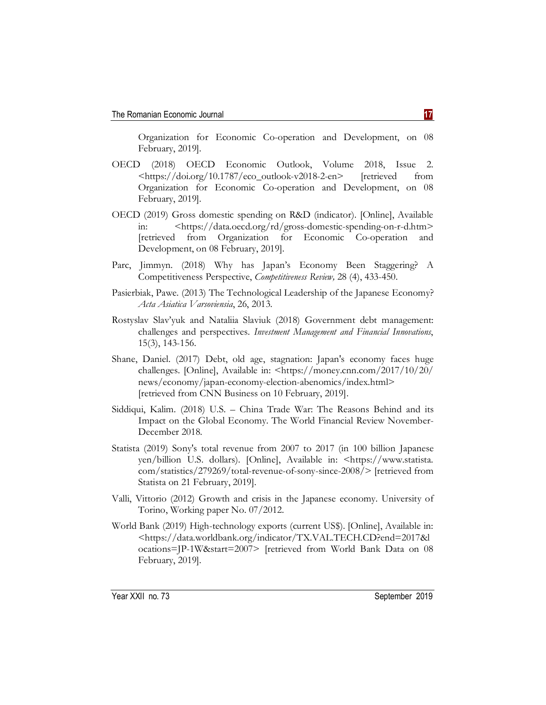Organization for Economic Co-operation and Development, on 08 February, 2019].

- OECD (2018) OECD Economic Outlook, Volume 2018, Issue 2. <https://doi.org/10.1787/eco\_outlook-v2018-2-en> [retrieved from Organization for Economic Co-operation and Development, on 08 February, 2019].
- OECD (2019) Gross domestic spending on R&D (indicator). [Online], Available in: <https://data.oecd.org/rd/gross-domestic-spending-on-r-d.htm> [retrieved from Organization for Economic Co-operation and Development, on 08 February, 2019].
- Parc, Jimmyn. (2018) Why has Japan's Economy Been Staggering? A Competitiveness Perspective, *Competitiveness Review,* 28 (4), 433-450.
- Pasierbiak, Pawe. (2013) The Technological Leadership of the Japanese Economy? *Acta Asiatica Varsoviensia*, 26, 2013.
- Rostyslav Slav'yuk and Nataliia Slaviuk (2018) Government debt management: challenges and perspectives. *Investment Management and Financial Innovations*, 15(3), 143-156.
- Shane, Daniel. (2017) Debt, old age, stagnation: Japan's economy faces huge challenges. [Online], Available in: <https://money.cnn.com/2017/10/20/ news/economy/japan-economy-election-abenomics/index.html> [retrieved from CNN Business on 10 February, 2019].
- Siddiqui, Kalim. (2018) U.S. China Trade War: The Reasons Behind and its Impact on the Global Economy. The World Financial Review November-December 2018.
- Statista (2019) Sony's total revenue from 2007 to 2017 (in 100 billion Japanese yen/billion U.S. dollars). [Online], Available in: <https://www.statista. com/statistics/279269/total-revenue-of-sony-since-2008/> [retrieved from Statista on 21 February, 2019].
- Valli, Vittorio (2012) Growth and crisis in the Japanese economy. University of Torino, Working paper No. 07/2012.
- World Bank (2019) High-technology exports (current US\$). [Online], Available in: <https://data.worldbank.org/indicator/TX.VAL.TECH.CD?end=2017&l ocations=JP-1W&start=2007> [retrieved from World Bank Data on 08 February, 2019].